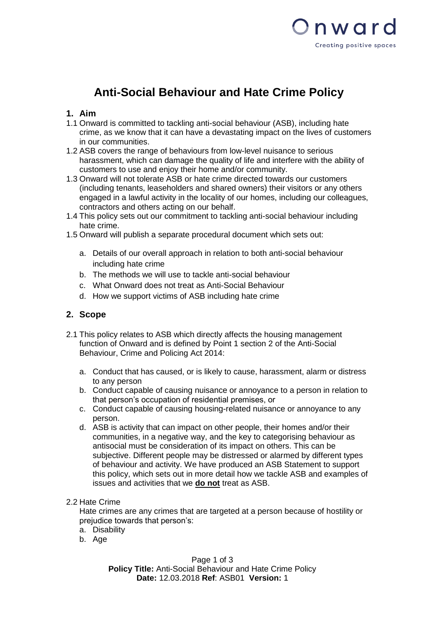

# **Anti-Social Behaviour and Hate Crime Policy**

### **1. Aim**

- 1.1 Onward is committed to tackling anti-social behaviour (ASB), including hate crime, as we know that it can have a devastating impact on the lives of customers in our communities.
- 1.2 ASB covers the range of behaviours from low-level nuisance to serious harassment, which can damage the quality of life and interfere with the ability of customers to use and enjoy their home and/or community.
- 1.3 Onward will not tolerate ASB or hate crime directed towards our customers (including tenants, leaseholders and shared owners) their visitors or any others engaged in a lawful activity in the locality of our homes, including our colleagues, contractors and others acting on our behalf.
- 1.4 This policy sets out our commitment to tackling anti-social behaviour including hate crime.
- 1.5 Onward will publish a separate procedural document which sets out:
	- a. Details of our overall approach in relation to both anti-social behaviour including hate crime
	- b. The methods we will use to tackle anti-social behaviour
	- c. What Onward does not treat as Anti-Social Behaviour
	- d. How we support victims of ASB including hate crime

## **2. Scope**

- 2.1 This policy relates to ASB which directly affects the housing management function of Onward and is defined by Point 1 section 2 of the Anti-Social Behaviour, Crime and Policing Act 2014:
	- a. Conduct that has caused, or is likely to cause, harassment, alarm or distress to any person
	- b. Conduct capable of causing nuisance or annoyance to a person in relation to that person's occupation of residential premises, or
	- c. Conduct capable of causing housing-related nuisance or annoyance to any person.
	- d. ASB is activity that can impact on other people, their homes and/or their communities, in a negative way, and the key to categorising behaviour as antisocial must be consideration of its impact on others. This can be subjective. Different people may be distressed or alarmed by different types of behaviour and activity. We have produced an ASB Statement to support this policy, which sets out in more detail how we tackle ASB and examples of issues and activities that we **do not** treat as ASB.
- 2.2 Hate Crime

Hate crimes are any crimes that are targeted at a person because of hostility or prejudice towards that person's:

- a. Disability
- b. Age

Page 1 of 3 **Policy Title:** Anti-Social Behaviour and Hate Crime Policy **Date:** 12.03.2018 **Ref**: ASB01 **Version:** 1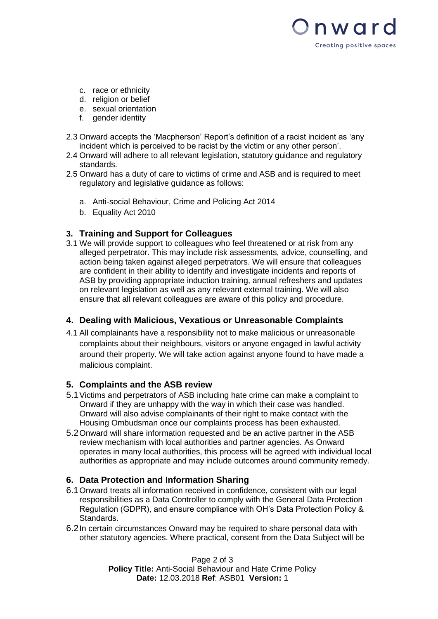

- c. race or ethnicity
- d. religion or belief
- e. sexual orientation
- f. gender identity
- 2.3 Onward accepts the 'Macpherson' Report's definition of a racist incident as 'any incident which is perceived to be racist by the victim or any other person'.
- 2.4 Onward will adhere to all relevant legislation, statutory guidance and regulatory standards.
- 2.5 Onward has a duty of care to victims of crime and ASB and is required to meet regulatory and legislative guidance as follows:
	- a. Anti-social Behaviour, Crime and Policing Act 2014
	- b. Equality Act 2010

### **3. Training and Support for Colleagues**

3.1 We will provide support to colleagues who feel threatened or at risk from any alleged perpetrator. This may include risk assessments, advice, counselling, and action being taken against alleged perpetrators. We will ensure that colleagues are confident in their ability to identify and investigate incidents and reports of ASB by providing appropriate induction training, annual refreshers and updates on relevant legislation as well as any relevant external training. We will also ensure that all relevant colleagues are aware of this policy and procedure.

### **4. Dealing with Malicious, Vexatious or Unreasonable Complaints**

4.1 All complainants have a responsibility not to make malicious or unreasonable complaints about their neighbours, visitors or anyone engaged in lawful activity around their property. We will take action against anyone found to have made a malicious complaint.

### **5. Complaints and the ASB review**

- 5.1Victims and perpetrators of ASB including hate crime can make a complaint to Onward if they are unhappy with the way in which their case was handled. Onward will also advise complainants of their right to make contact with the Housing Ombudsman once our complaints process has been exhausted.
- 5.2Onward will share information requested and be an active partner in the ASB review mechanism with local authorities and partner agencies. As Onward operates in many local authorities, this process will be agreed with individual local authorities as appropriate and may include outcomes around community remedy.

### **6. Data Protection and Information Sharing**

- 6.1Onward treats all information received in confidence, consistent with our legal responsibilities as a Data Controller to comply with the General Data Protection Regulation (GDPR), and ensure compliance with OH's Data Protection Policy & Standards.
- 6.2In certain circumstances Onward may be required to share personal data with other statutory agencies. Where practical, consent from the Data Subject will be

Page 2 of 3 **Policy Title:** Anti-Social Behaviour and Hate Crime Policy **Date:** 12.03.2018 **Ref**: ASB01 **Version:** 1